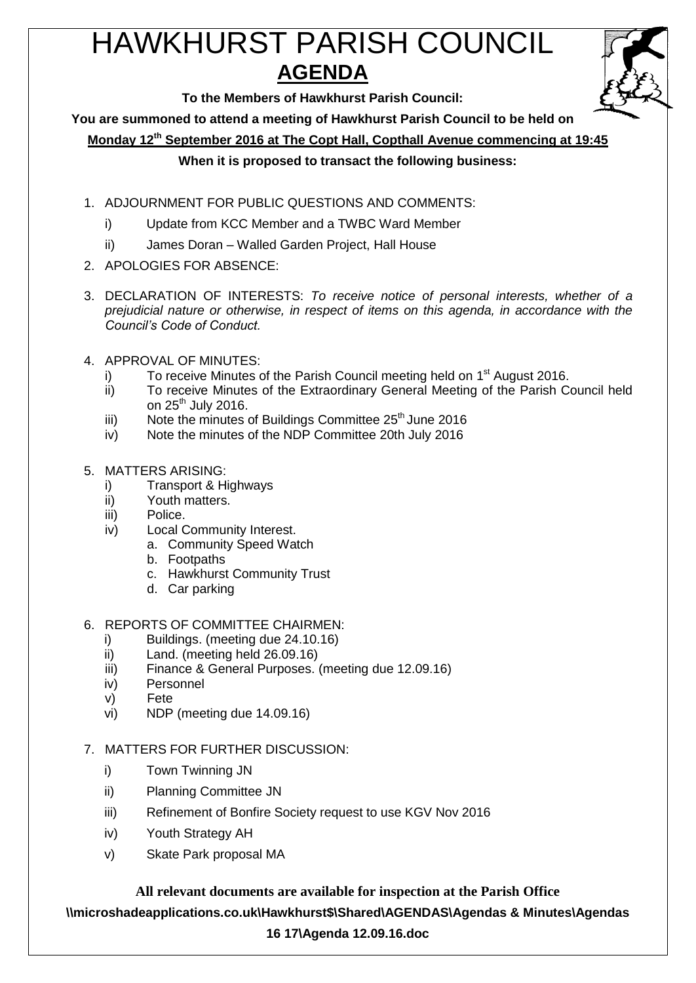# HAWKHURST PARISH COUNCIL **AGENDA**



**To the Members of Hawkhurst Parish Council:**

**You are summoned to attend a meeting of Hawkhurst Parish Council to be held on**

**Monday 12th September 2016 at The Copt Hall, Copthall Avenue commencing at 19:45**

### **When it is proposed to transact the following business:**

- 1. ADJOURNMENT FOR PUBLIC QUESTIONS AND COMMENTS:
	- i) Update from KCC Member and a TWBC Ward Member
	- ii) James Doran Walled Garden Project, Hall House
- 2. APOLOGIES FOR ABSENCE:
- 3. DECLARATION OF INTERESTS: *To receive notice of personal interests, whether of a prejudicial nature or otherwise, in respect of items on this agenda, in accordance with the Council's Code of Conduct.*
- 4. APPROVAL OF MINUTES:
	- i) To receive Minutes of the Parish Council meeting held on  $1<sup>st</sup>$  August 2016.
	- ii) To receive Minutes of the Extraordinary General Meeting of the Parish Council held on  $25<sup>th</sup>$  July 2016.
	- iii) Note the minutes of Buildings Committee  $25<sup>th</sup>$  June 2016
	- iv) Note the minutes of the NDP Committee 20th July 2016
- 5. MATTERS ARISING:
	- i) Transport & Highways
	- ii) Youth matters.
	- iii) Police.
	- iv) Local Community Interest.
		- a. Community Speed Watch
			- b. Footpaths
			- c. Hawkhurst Community Trust
			- d. Car parking

### 6. REPORTS OF COMMITTEE CHAIRMEN:

- i) Buildings. (meeting due 24.10.16)
- ii) Land. (meeting held 26.09.16)
- iii) Finance & General Purposes. (meeting due 12.09.16)
- iv) Personnel
- v) Fete
- vi) NDP (meeting due 14.09.16)
- 7. MATTERS FOR FURTHER DISCUSSION:
	- i) Town Twinning JN
	- ii) Planning Committee JN
	- iii) Refinement of Bonfire Society request to use KGV Nov 2016
	- iv) Youth Strategy AH
	- v) Skate Park proposal MA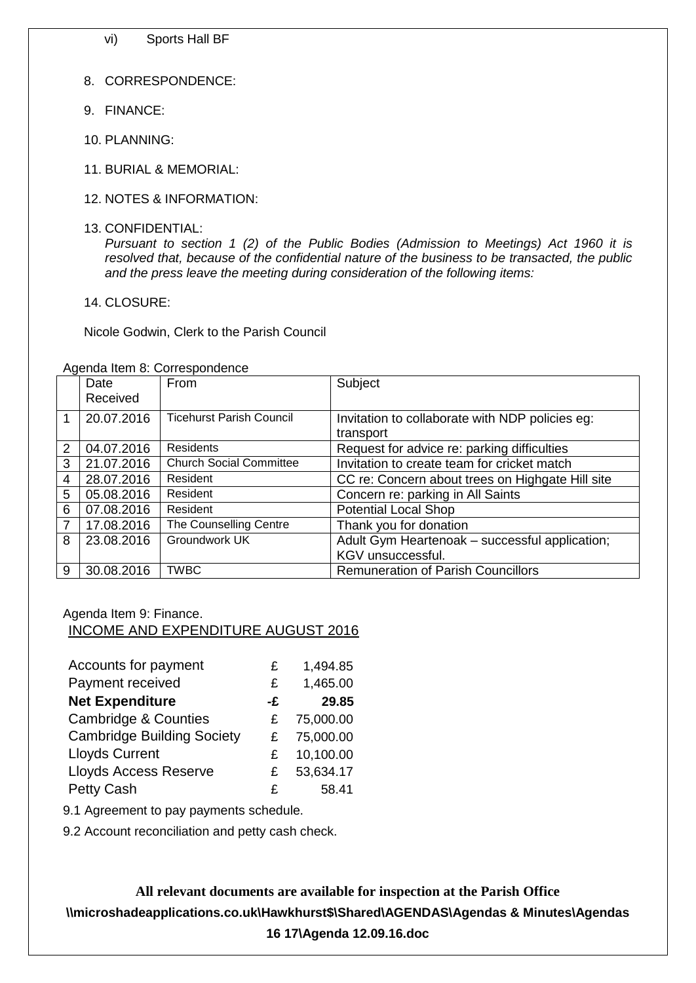vi) Sports Hall BF

- 8. CORRESPONDENCE:
- 9. FINANCE:
- 10. PLANNING:
- 11. BURIAL & MEMORIAL:
- 12. NOTES & INFORMATION:
- 13. CONFIDENTIAL:

*Pursuant to section 1 (2) of the Public Bodies (Admission to Meetings) Act 1960 it is resolved that, because of the confidential nature of the business to be transacted, the public and the press leave the meeting during consideration of the following items:*

14. CLOSURE:

Nicole Godwin, Clerk to the Parish Council

|                | Date<br>Received | From                            | Subject                                                      |
|----------------|------------------|---------------------------------|--------------------------------------------------------------|
| 1              | 20.07.2016       | <b>Ticehurst Parish Council</b> | Invitation to collaborate with NDP policies eg:<br>transport |
| $\overline{2}$ | 04.07.2016       | <b>Residents</b>                | Request for advice re: parking difficulties                  |
| 3              | 21.07.2016       | <b>Church Social Committee</b>  | Invitation to create team for cricket match                  |
| $\overline{4}$ | 28.07.2016       | Resident                        | CC re: Concern about trees on Highgate Hill site             |
| 5              | 05.08.2016       | Resident                        | Concern re: parking in All Saints                            |
| 6              | 07.08.2016       | Resident                        | <b>Potential Local Shop</b>                                  |
| $\overline{7}$ | 17.08.2016       | The Counselling Centre          | Thank you for donation                                       |
| 8              | 23.08.2016       | Groundwork UK                   | Adult Gym Heartenoak - successful application;               |
|                |                  |                                 | KGV unsuccessful.                                            |
| 9              | 30.08.2016       | <b>TWBC</b>                     | <b>Remuneration of Parish Councillors</b>                    |

Agenda Item 8: Correspondence

#### Agenda Item 9: Finance. INCOME AND EXPENDITURE AUGUST 2016

| Accounts for payment              | £  | 1,494.85  |
|-----------------------------------|----|-----------|
| Payment received                  | £  | 1,465.00  |
| <b>Net Expenditure</b>            | -£ | 29.85     |
| <b>Cambridge &amp; Counties</b>   | £  | 75,000.00 |
| <b>Cambridge Building Society</b> | £  | 75,000.00 |
| <b>Lloyds Current</b>             | £  | 10,100.00 |
| <b>Lloyds Access Reserve</b>      | £  | 53,634.17 |
| <b>Petty Cash</b>                 | £  | 58.41     |

9.1 Agreement to pay payments schedule.

9.2 Account reconciliation and petty cash check.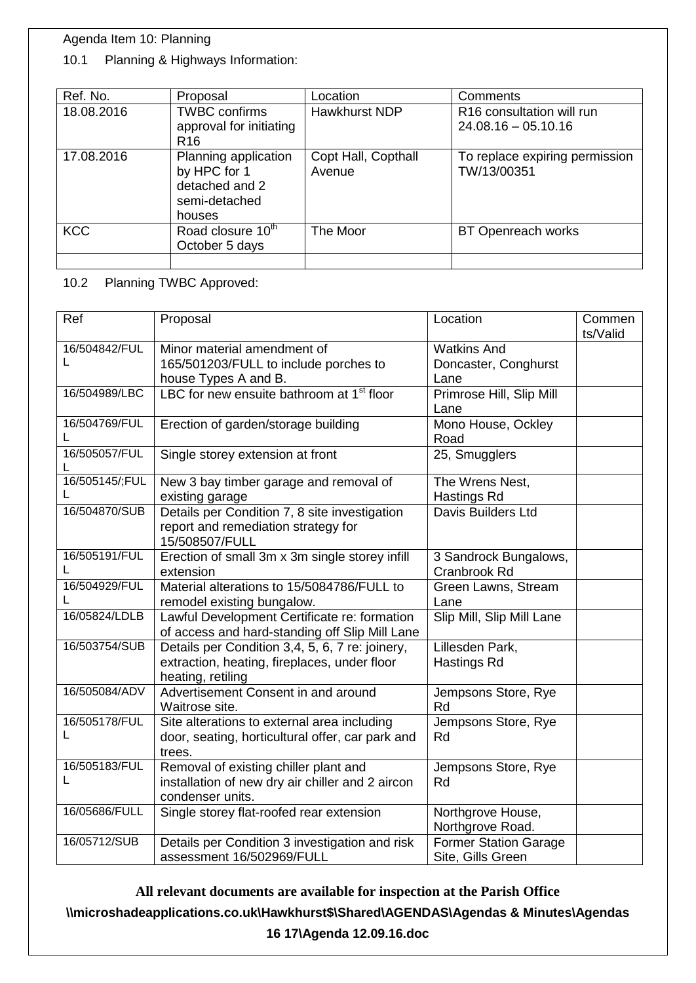# Agenda Item 10: Planning

## 10.1 Planning & Highways Information:

| Ref. No.   | Proposal                                                                          | Location                      | Comments                                           |
|------------|-----------------------------------------------------------------------------------|-------------------------------|----------------------------------------------------|
| 18.08.2016 | <b>TWBC</b> confirms<br>approval for initiating<br>R <sub>16</sub>                | <b>Hawkhurst NDP</b>          | R16 consultation will run<br>$24.08.16 - 05.10.16$ |
| 17.08.2016 | Planning application<br>by HPC for 1<br>detached and 2<br>semi-detached<br>houses | Copt Hall, Copthall<br>Avenue | To replace expiring permission<br>TW/13/00351      |
| <b>KCC</b> | Road closure 10 <sup>th</sup><br>October 5 days                                   | The Moor                      | BT Openreach works                                 |
|            |                                                                                   |                               |                                                    |

10.2 Planning TWBC Approved:

| Ref                | Proposal                                                                                                             | Location                                           | Commen<br>ts/Valid |
|--------------------|----------------------------------------------------------------------------------------------------------------------|----------------------------------------------------|--------------------|
| 16/504842/FUL<br>L | Minor material amendment of<br>165/501203/FULL to include porches to<br>house Types A and B.                         | <b>Watkins And</b><br>Doncaster, Conghurst<br>Lane |                    |
| 16/504989/LBC      | LBC for new ensuite bathroom at 1 <sup>st</sup> floor                                                                | Primrose Hill, Slip Mill<br>Lane                   |                    |
| 16/504769/FUL<br>L | Erection of garden/storage building                                                                                  | Mono House, Ockley<br>Road                         |                    |
| 16/505057/FUL<br>L | Single storey extension at front                                                                                     | 25, Smugglers                                      |                    |
| 16/505145/;FUL     | New 3 bay timber garage and removal of<br>existing garage                                                            | The Wrens Nest,<br>Hastings Rd                     |                    |
| 16/504870/SUB      | Details per Condition 7, 8 site investigation<br>report and remediation strategy for<br>15/508507/FULL               | Davis Builders Ltd                                 |                    |
| 16/505191/FUL<br>L | Erection of small 3m x 3m single storey infill<br>extension                                                          | 3 Sandrock Bungalows,<br>Cranbrook Rd              |                    |
| 16/504929/FUL<br>L | Material alterations to 15/5084786/FULL to<br>remodel existing bungalow.                                             | Green Lawns, Stream<br>Lane                        |                    |
| 16/05824/LDLB      | Lawful Development Certificate re: formation<br>of access and hard-standing off Slip Mill Lane                       | Slip Mill, Slip Mill Lane                          |                    |
| 16/503754/SUB      | Details per Condition 3,4, 5, 6, 7 re: joinery,<br>extraction, heating, fireplaces, under floor<br>heating, retiling | Lillesden Park,<br>Hastings Rd                     |                    |
| 16/505084/ADV      | Advertisement Consent in and around<br>Waitrose site.                                                                | Jempsons Store, Rye<br>Rd                          |                    |
| 16/505178/FUL<br>L | Site alterations to external area including<br>door, seating, horticultural offer, car park and<br>trees.            | Jempsons Store, Rye<br>Rd                          |                    |
| 16/505183/FUL<br>L | Removal of existing chiller plant and<br>installation of new dry air chiller and 2 aircon<br>condenser units.        | Jempsons Store, Rye<br>Rd                          |                    |
| 16/05686/FULL      | Single storey flat-roofed rear extension                                                                             | Northgrove House,<br>Northgrove Road.              |                    |
| 16/05712/SUB       | Details per Condition 3 investigation and risk<br>assessment 16/502969/FULL                                          | <b>Former Station Garage</b><br>Site, Gills Green  |                    |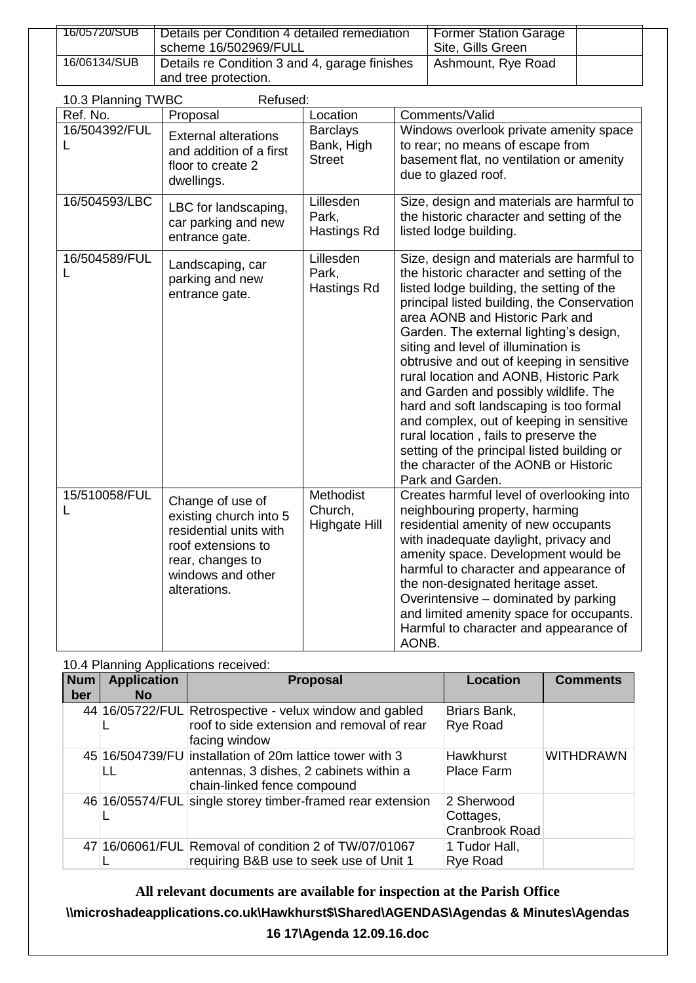| 16/05720/SUB | Details per Condition 4 detailed remediation  | <b>Former Station Garage</b> |  |
|--------------|-----------------------------------------------|------------------------------|--|
|              | scheme 16/502969/FULL                         | Site, Gills Green            |  |
| 16/06134/SUB | Details re Condition 3 and 4, garage finishes | Ashmount, Rye Road           |  |
|              | and tree protection.                          |                              |  |

| 10.3 Planning TWBC<br>Refused: |                                                                                                                                                     |                                                |                                                                                                                                                                                                                                                                                                                                                                                                                                                                                                                                                                                                                                                                                     |  |  |
|--------------------------------|-----------------------------------------------------------------------------------------------------------------------------------------------------|------------------------------------------------|-------------------------------------------------------------------------------------------------------------------------------------------------------------------------------------------------------------------------------------------------------------------------------------------------------------------------------------------------------------------------------------------------------------------------------------------------------------------------------------------------------------------------------------------------------------------------------------------------------------------------------------------------------------------------------------|--|--|
| Ref. No.                       | Proposal                                                                                                                                            | Location                                       | Comments/Valid                                                                                                                                                                                                                                                                                                                                                                                                                                                                                                                                                                                                                                                                      |  |  |
| 16/504392/FUL                  | <b>External alterations</b><br>and addition of a first<br>floor to create 2<br>dwellings.                                                           | <b>Barclays</b><br>Bank, High<br><b>Street</b> | Windows overlook private amenity space<br>to rear; no means of escape from<br>basement flat, no ventilation or amenity<br>due to glazed roof.                                                                                                                                                                                                                                                                                                                                                                                                                                                                                                                                       |  |  |
| 16/504593/LBC                  | LBC for landscaping,<br>car parking and new<br>entrance gate.                                                                                       | Lillesden<br>Park,<br>Hastings Rd              | Size, design and materials are harmful to<br>the historic character and setting of the<br>listed lodge building.                                                                                                                                                                                                                                                                                                                                                                                                                                                                                                                                                                    |  |  |
| 16/504589/FUL<br>L             | Landscaping, car<br>parking and new<br>entrance gate.                                                                                               | Lillesden<br>Park,<br>Hastings Rd              | Size, design and materials are harmful to<br>the historic character and setting of the<br>listed lodge building, the setting of the<br>principal listed building, the Conservation<br>area AONB and Historic Park and<br>Garden. The external lighting's design,<br>siting and level of illumination is<br>obtrusive and out of keeping in sensitive<br>rural location and AONB, Historic Park<br>and Garden and possibly wildlife. The<br>hard and soft landscaping is too formal<br>and complex, out of keeping in sensitive<br>rural location, fails to preserve the<br>setting of the principal listed building or<br>the character of the AONB or Historic<br>Park and Garden. |  |  |
| 15/510058/FUL<br>L             | Change of use of<br>existing church into 5<br>residential units with<br>roof extensions to<br>rear, changes to<br>windows and other<br>alterations. | Methodist<br>Church,<br><b>Highgate Hill</b>   | Creates harmful level of overlooking into<br>neighbouring property, harming<br>residential amenity of new occupants<br>with inadequate daylight, privacy and<br>amenity space. Development would be<br>harmful to character and appearance of<br>the non-designated heritage asset.<br>Overintensive - dominated by parking<br>and limited amenity space for occupants.<br>Harmful to character and appearance of<br>AONB.                                                                                                                                                                                                                                                          |  |  |

### 10.4 Planning Applications received:

| <b>Num</b><br>ber | <b>Application</b><br>No. | <b>Proposal</b>                                                                                                                    | <b>Location</b>                           | <b>Comments</b>  |
|-------------------|---------------------------|------------------------------------------------------------------------------------------------------------------------------------|-------------------------------------------|------------------|
|                   |                           | 44 16/05722/FUL Retrospective - velux window and gabled<br>roof to side extension and removal of rear<br>facing window             | Briars Bank,<br>Rye Road                  |                  |
|                   | LL                        | 45 16/504739/FU installation of 20m lattice tower with 3<br>antennas, 3 dishes, 2 cabinets within a<br>chain-linked fence compound | <b>Hawkhurst</b><br>Place Farm            | <b>WITHDRAWN</b> |
|                   |                           | 46 16/05574/FUL single storey timber-framed rear extension                                                                         | 2 Sherwood<br>Cottages,<br>Cranbrook Road |                  |
|                   |                           | 47 16/06061/FUL Removal of condition 2 of TW/07/01067<br>requiring B&B use to seek use of Unit 1                                   | 1 Tudor Hall,<br>Rye Road                 |                  |